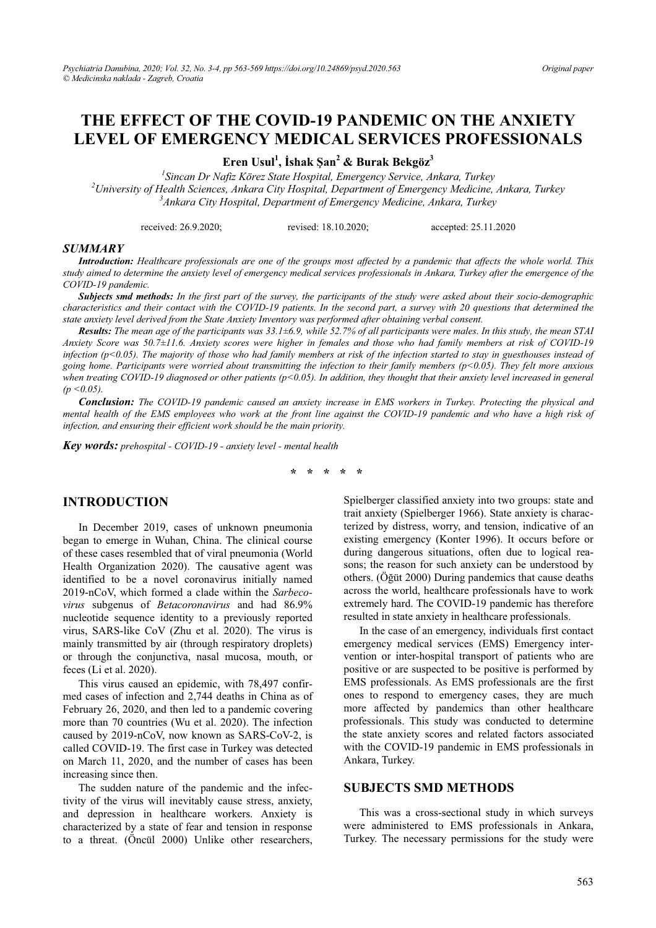## THE EFFECT OF THE COVID-19 PANDEMIC ON THE ANXIETY **LEVEL OF EMERGENCY MEDICAL SERVICES PROFESSIONALS**

Eren Usul<sup>1</sup>, İshak Şan<sup>2</sup> & Burak Bekgöz<sup>3</sup>

 $\frac{1}{2}$ Sincan Dr Nafiz Körez State Hospital, Emergency Service, Ankara, Turkey  $^{2}$ University of Health Sciences, Ankara City Hospital, Department of Emergency Medicine, Ankara, Turkey  $3A$ nkara City Hospital, Department of Emergency Medicine, Ankara, Turkey

> received: 26.9.2020; revised: 18.10.2020; accepted: 25.11.2020

#### **SUMMARY**

Introduction: Healthcare professionals are one of the groups most affected by a pandemic that affects the whole world. This study aimed to determine the anxiety level of emergency medical services professionals in Ankara, Turkey after the emergence of the COVID-19 pandemic.

Subjects smd methods: In the first part of the survey, the participants of the study were asked about their socio-demographic characteristics and their contact with the COVID-19 patients. In the second part, a survey with 20 questions that determined the state anxiety level derived from the State Anxiety Inventory was performed after obtaining verbal consent.

Results: The mean age of the participants was 33.1+6.9, while 52.7% of all participants were males. In this study, the mean STAI Anxiety Score was 50.7±11.6. Anxiety scores were higher in females and those who had family members at risk of COVID-19 infection ( $p<0.05$ ). The majority of those who had family members at risk of the infection started to stay in guesthouses instead of going home. Participants were worried about transmitting the infection to their family members ( $p$ <0.05). They felt more anxious when treating COVID-19 diagnosed or other patients ( $p<0.05$ ). In addition, they thought that their anxiety level increased in general  $(p < 0.05)$ .

Conclusion: The COVID-19 pandemic caused an anxiety increase in EMS workers in Turkey. Protecting the physical and mental health of the EMS employees who work at the front line against the COVID-19 pandemic and who have a high risk of infection, and ensuring their efficient work should be the main priority.

Key words: prehospital - COVID-19 - anxiety level - mental health

 $\star$  $\cdot$  $\rightarrow$ 

## **INTRODUCTION**

In December 2019, cases of unknown pneumonia began to emerge in Wuhan, China. The clinical course of these cases resembled that of viral pneumonia (World Health Organization 2020). The causative agent was identified to be a novel coronavirus initially named 2019-nCoV, which formed a clade within the Sarbecovirus subgenus of Betacoronavirus and had 86.9% nucleotide sequence identity to a previously reported virus, SARS-like CoV (Zhu et al. 2020). The virus is mainly transmitted by air (through respiratory droplets) or through the conjunctiva, nasal mucosa, mouth, or feces (Li et al. 2020).

This virus caused an epidemic, with 78,497 confirmed cases of infection and 2.744 deaths in China as of February 26, 2020, and then led to a pandemic covering more than 70 countries (Wu et al. 2020). The infection caused by 2019-nCoV, now known as SARS-CoV-2, is called COVID-19. The first case in Turkey was detected on March 11, 2020, and the number of cases has been increasing since then.

The sudden nature of the pandemic and the infectivity of the virus will inevitably cause stress, anxiety, and depression in healthcare workers. Anxiety is characterized by a state of fear and tension in response to a threat. (Öncül 2000) Unlike other researchers,

Spielberger classified anxiety into two groups: state and trait anxiety (Spielberger 1966). State anxiety is characterized by distress, worry, and tension, indicative of an existing emergency (Konter 1996). It occurs before or during dangerous situations, often due to logical reasons; the reason for such anxiety can be understood by others. (Öğüt 2000) During pandemics that cause deaths across the world, healthcare professionals have to work extremely hard. The COVID-19 pandemic has therefore resulted in state anxiety in healthcare professionals.

In the case of an emergency, individuals first contact emergency medical services (EMS) Emergency intervention or inter-hospital transport of patients who are positive or are suspected to be positive is performed by EMS professionals. As EMS professionals are the first ones to respond to emergency cases, they are much more affected by pandemics than other healthcare professionals. This study was conducted to determine the state anxiety scores and related factors associated with the COVID-19 pandemic in EMS professionals in Ankara, Turkey.

## **SUBJECTS SMD METHODS**

This was a cross-sectional study in which surveys were administered to EMS professionals in Ankara, Turkey. The necessary permissions for the study were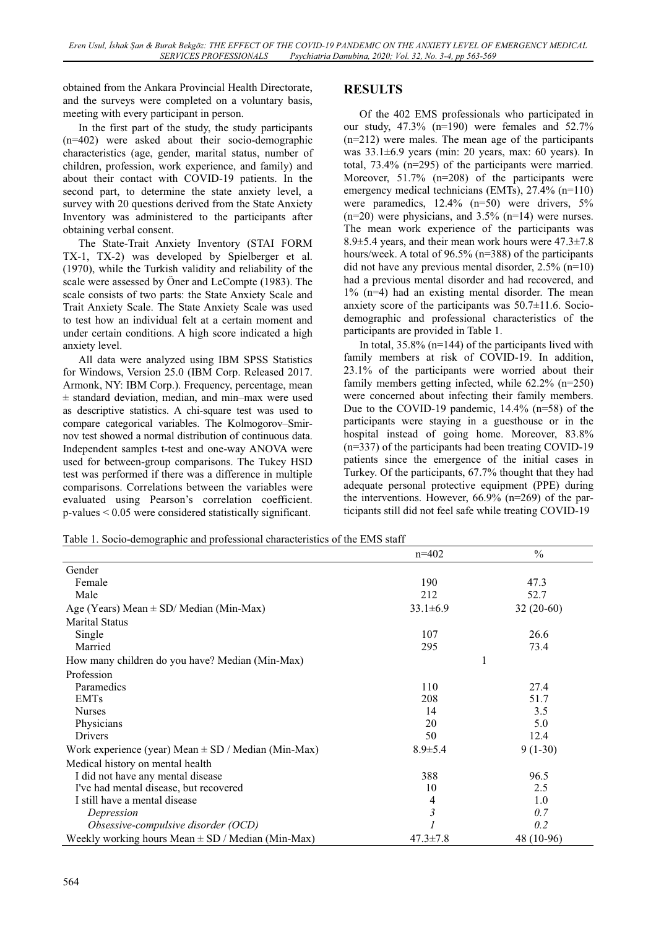obtained from the Ankara Provincial Health Directorate, and the surveys were completed on a voluntary basis, meeting with every participant in person.

In the first part of the study, the study participants (n=402) were asked about their socio-demographic characteristics (age, gender, marital status, number of children, profession, work experience, and family) and about their contact with COVID-19 patients. In the second part, to determine the state anxiety level, a survey with 20 questions derived from the State Anxiety Inventory was administered to the participants after obtaining verbal consent.

The State-Trait Anxiety Inventory (STAI FORM TX-1, TX-2) was developed by Spielberger et al. (1970), while the Turkish validity and reliability of the scale were assessed by Öner and LeCompte (1983). The scale consists of two parts: the State Anxiety Scale and Trait Anxiety Scale. The State Anxiety Scale was used to test how an individual felt at a certain moment and under certain conditions. A high score indicated a high anxiety level.

All data were analyzed using IBM SPSS Statistics for Windows, Version 25.0 (IBM Corp. Released 2017. Armonk, NY: IBM Corp.). Frequency, percentage, mean  $\pm$  standard deviation, median, and min–max were used as descriptive statistics. A chi-square test was used to compare categorical variables. The Kolmogorov–Smirnov test showed a normal distribution of continuous data. Independent samples t-test and one-way ANOVA were used for between-group comparisons. The Tukey HSD test was performed if there was a difference in multiple comparisons. Correlations between the variables were evaluated using Pearson's correlation coefficient. p-values < 0.05 were considered statistically significant.

# **RESULTS**

Of the 402 EMS professionals who participated in our study, 47.3% (n=190) were females and 52.7% (n=212) were males. The mean age of the participants was 33.1±6.9 years (min: 20 years, max: 60 years). In total, 73.4% (n=295) of the participants were married. Moreover, 51.7% (n=208) of the participants were emergency medical technicians (EMTs), 27.4% (n=110) were paramedics, 12.4% (n=50) were drivers, 5%  $(n=20)$  were physicians, and 3.5%  $(n=14)$  were nurses. The mean work experience of the participants was 8.9±5.4 years, and their mean work hours were 47.3±7.8 hours/week. A total of 96.5% (n=388) of the participants did not have any previous mental disorder, 2.5% (n=10) had a previous mental disorder and had recovered, and 1% (n=4) had an existing mental disorder. The mean anxiety score of the participants was 50.7±11.6. Sociodemographic and professional characteristics of the participants are provided in Table 1.

In total,  $35.8\%$  (n=144) of the participants lived with family members at risk of COVID-19. In addition, 23.1% of the participants were worried about their family members getting infected, while 62.2% (n=250) were concerned about infecting their family members. Due to the COVID-19 pandemic, 14.4% (n=58) of the participants were staying in a guesthouse or in the hospital instead of going home. Moreover, 83.8% (n=337) of the participants had been treating COVID-19 patients since the emergence of the initial cases in Turkey. Of the participants, 67.7% thought that they had adequate personal protective equipment (PPE) during the interventions. However,  $66.9\%$  (n=269) of the participants still did not feel safe while treating COVID-19

| Table 1. Socio-demographic and professional characteristics of the EMS staff |
|------------------------------------------------------------------------------|
|------------------------------------------------------------------------------|

|                                                         | $n=402$        | $\frac{0}{0}$ |
|---------------------------------------------------------|----------------|---------------|
| Gender                                                  |                |               |
| Female                                                  | 190            | 47.3          |
| Male                                                    | 212            | 52.7          |
| Age (Years) Mean $\pm$ SD/ Median (Min-Max)             | $33.1 \pm 6.9$ | $32(20-60)$   |
| <b>Marital Status</b>                                   |                |               |
| Single                                                  | 107            | 26.6          |
| Married                                                 | 295            | 73.4          |
| How many children do you have? Median (Min-Max)         |                |               |
| Profession                                              |                |               |
| Paramedics                                              | 110            | 27.4          |
| <b>EMTs</b>                                             | 208            | 51.7          |
| <b>Nurses</b>                                           | 14             | 3.5           |
| Physicians                                              | 20             | 5.0           |
| Drivers                                                 | 50             | 12.4          |
| Work experience (year) Mean $\pm$ SD / Median (Min-Max) | $8.9 \pm 5.4$  | $9(1-30)$     |
| Medical history on mental health                        |                |               |
| I did not have any mental disease                       | 388            | 96.5          |
| I've had mental disease, but recovered                  | 10             | 2.5           |
| I still have a mental disease                           | 4              | 1.0           |
| Depression                                              | 3              | 0.7           |
| Obsessive-compulsive disorder (OCD)                     |                | 0.2           |
| Weekly working hours Mean $\pm$ SD / Median (Min-Max)   | $47.3 \pm 7.8$ | 48 (10-96)    |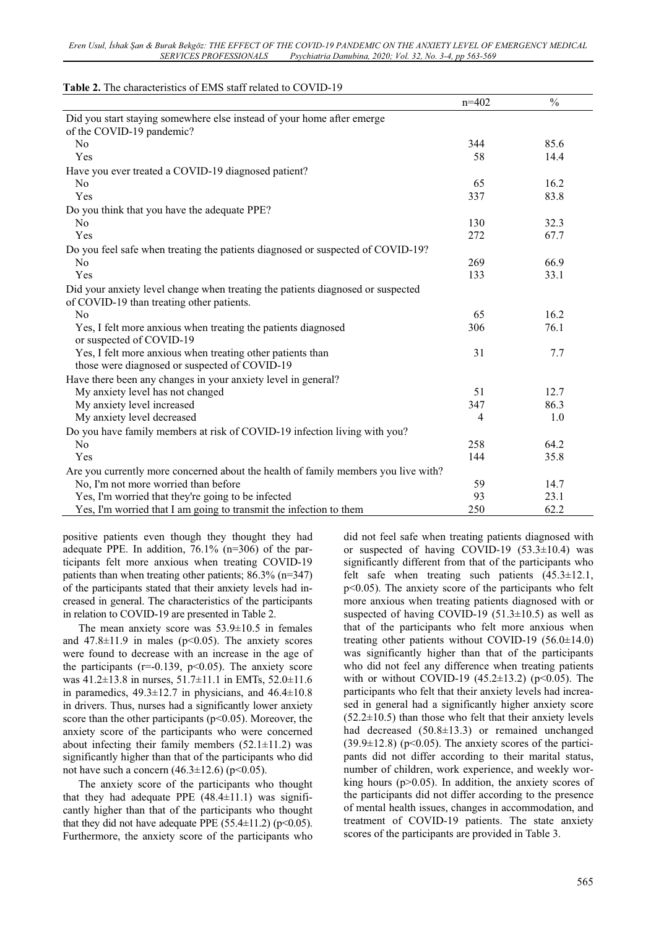|                                                                                                                              | $n=402$        | $\frac{0}{0}$ |
|------------------------------------------------------------------------------------------------------------------------------|----------------|---------------|
| Did you start staying somewhere else instead of your home after emerge                                                       |                |               |
| of the COVID-19 pandemic?                                                                                                    |                |               |
| N <sub>o</sub>                                                                                                               | 344            | 85.6          |
| Yes                                                                                                                          | 58             | 14.4          |
| Have you ever treated a COVID-19 diagnosed patient?                                                                          |                |               |
| No                                                                                                                           | 65             | 16.2          |
| Yes                                                                                                                          | 337            | 83.8          |
| Do you think that you have the adequate PPE?                                                                                 |                |               |
| N <sub>o</sub>                                                                                                               | 130            | 32.3          |
| Yes                                                                                                                          | 272            | 67.7          |
| Do you feel safe when treating the patients diagnosed or suspected of COVID-19?                                              |                |               |
| No                                                                                                                           | 269            | 66.9          |
| Yes                                                                                                                          | 133            | 33.1          |
| Did your anxiety level change when treating the patients diagnosed or suspected<br>of COVID-19 than treating other patients. |                |               |
| No                                                                                                                           | 65             | 16.2          |
| Yes, I felt more anxious when treating the patients diagnosed<br>or suspected of COVID-19                                    | 306            | 76.1          |
| Yes, I felt more anxious when treating other patients than<br>those were diagnosed or suspected of COVID-19                  | 31             | 7.7           |
| Have there been any changes in your anxiety level in general?                                                                |                |               |
| My anxiety level has not changed                                                                                             | 51             | 12.7          |
| My anxiety level increased                                                                                                   | 347            | 86.3          |
| My anxiety level decreased                                                                                                   | $\overline{4}$ | 1.0           |
| Do you have family members at risk of COVID-19 infection living with you?                                                    |                |               |
| N <sub>o</sub>                                                                                                               | 258            | 64.2          |
| Yes                                                                                                                          | 144            | 35.8          |
| Are you currently more concerned about the health of family members you live with?                                           |                |               |
| No, I'm not more worried than before                                                                                         | 59             | 14.7          |
| Yes, I'm worried that they're going to be infected                                                                           | 93             | 23.1          |
| Yes, I'm worried that I am going to transmit the infection to them                                                           | 250            | 62.2          |

### **Table 2.** The characteristics of EMS staff related to COVID-19

positive patients even though they thought they had adequate PPE. In addition, 76.1% (n=306) of the participants felt more anxious when treating COVID-19 patients than when treating other patients; 86.3% (n=347) of the participants stated that their anxiety levels had increased in general. The characteristics of the participants in relation to COVID-19 are presented in Table 2.

The mean anxiety score was  $53.9 \pm 10.5$  in females and  $47.8 \pm 11.9$  in males (p<0.05). The anxiety scores were found to decrease with an increase in the age of the participants ( $r=0.139$ ,  $p<0.05$ ). The anxiety score was 41.2±13.8 in nurses, 51.7±11.1 in EMTs, 52.0±11.6 in paramedics,  $49.3 \pm 12.7$  in physicians, and  $46.4 \pm 10.8$ in drivers. Thus, nurses had a significantly lower anxiety score than the other participants ( $p<0.05$ ). Moreover, the anxiety score of the participants who were concerned about infecting their family members  $(52.1 \pm 11.2)$  was significantly higher than that of the participants who did not have such a concern  $(46.3 \pm 12.6)$  (p<0.05).

The anxiety score of the participants who thought that they had adequate PPE  $(48.4\pm11.1)$  was significantly higher than that of the participants who thought that they did not have adequate PPE  $(55.4\pm11.2)$  (p<0.05). Furthermore, the anxiety score of the participants who did not feel safe when treating patients diagnosed with or suspected of having COVID-19  $(53.3\pm10.4)$  was significantly different from that of the participants who felt safe when treating such patients (45.3±12.1, p<0.05). The anxiety score of the participants who felt more anxious when treating patients diagnosed with or suspected of having COVID-19 (51.3 $\pm$ 10.5) as well as that of the participants who felt more anxious when treating other patients without COVID-19 (56.0±14.0) was significantly higher than that of the participants who did not feel any difference when treating patients with or without COVID-19  $(45.2 \pm 13.2)$  (p<0.05). The participants who felt that their anxiety levels had increased in general had a significantly higher anxiety score  $(52.2\pm10.5)$  than those who felt that their anxiety levels had decreased (50.8±13.3) or remained unchanged  $(39.9\pm12.8)$  (p<0.05). The anxiety scores of the participants did not differ according to their marital status, number of children, work experience, and weekly working hours ( $p > 0.05$ ). In addition, the anxiety scores of the participants did not differ according to the presence of mental health issues, changes in accommodation, and treatment of COVID-19 patients. The state anxiety scores of the participants are provided in Table 3.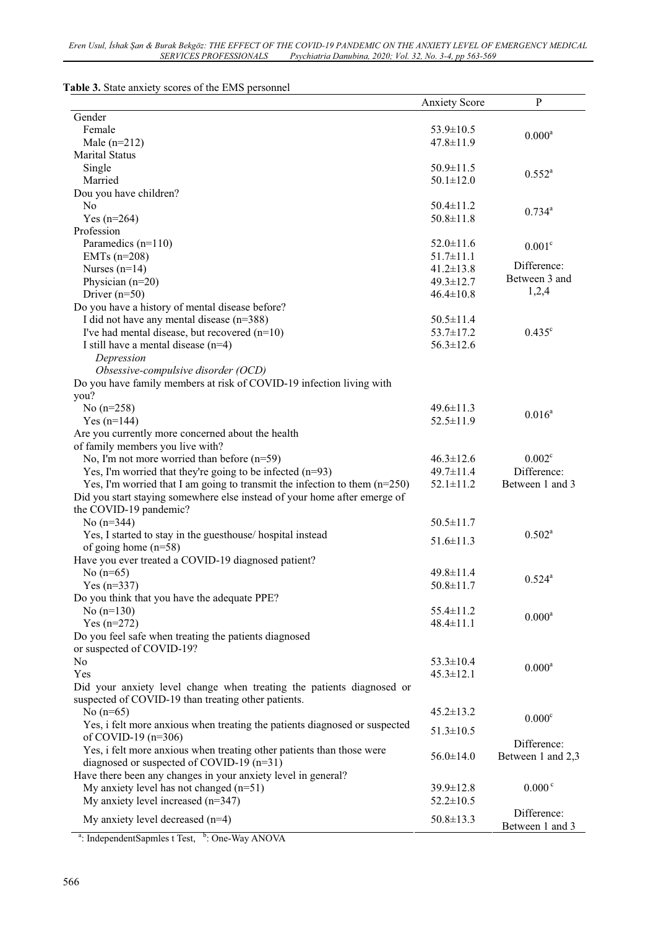| Table 3. State anxiety scores of the EMS personnel |  |  |
|----------------------------------------------------|--|--|
|                                                    |  |  |

|                                                                              | <b>Anxiety Score</b> | $\mathbf{P}$       |
|------------------------------------------------------------------------------|----------------------|--------------------|
| Gender                                                                       |                      |                    |
| Female                                                                       | $53.9 \pm 10.5$      | $0.000^a$          |
| Male $(n=212)$                                                               | 47.8±11.9            |                    |
| Marital Status                                                               |                      |                    |
| Single                                                                       | $50.9 \pm 11.5$      | $0.552^a$          |
| Married                                                                      | $50.1 \pm 12.0$      |                    |
| Dou you have children?                                                       |                      |                    |
| N <sub>o</sub>                                                               | $50.4 \pm 11.2$      | $0.734^{a}$        |
| Yes $(n=264)$<br>Profession                                                  | $50.8 \pm 11.8$      |                    |
|                                                                              | $52.0 \pm 11.6$      |                    |
| Paramedics $(n=110)$<br>EMTs $(n=208)$                                       | $51.7 \pm 11.1$      | 0.001 <sup>c</sup> |
| Nurses $(n=14)$                                                              | $41.2 \pm 13.8$      | Difference:        |
| Physician $(n=20)$                                                           | $49.3 \pm 12.7$      | Between 3 and      |
| Driver $(n=50)$                                                              | $46.4 \pm 10.8$      | 1,2,4              |
| Do you have a history of mental disease before?                              |                      |                    |
| I did not have any mental disease $(n=388)$                                  | $50.5 \pm 11.4$      |                    |
| I've had mental disease, but recovered $(n=10)$                              | 53.7±17.2            | $0.435^{\circ}$    |
| I still have a mental disease $(n=4)$                                        | $56.3 \pm 12.6$      |                    |
| Depression                                                                   |                      |                    |
| Obsessive-compulsive disorder (OCD)                                          |                      |                    |
| Do you have family members at risk of COVID-19 infection living with         |                      |                    |
| you?                                                                         |                      |                    |
| No $(n=258)$                                                                 | $49.6 \pm 11.3$      |                    |
| $Yes (n=144)$                                                                | $52.5 \pm 11.9$      | $0.016^a$          |
| Are you currently more concerned about the health                            |                      |                    |
| of family members you live with?                                             |                      |                    |
| No, I'm not more worried than before $(n=59)$                                | $46.3 \pm 12.6$      | 0.002 <sup>c</sup> |
| Yes, I'm worried that they're going to be infected $(n=93)$                  | 49.7±11.4            | Difference:        |
| Yes, I'm worried that I am going to transmit the infection to them $(n=250)$ | $52.1 \pm 11.2$      | Between 1 and 3    |
| Did you start staying somewhere else instead of your home after emerge of    |                      |                    |
| the COVID-19 pandemic?                                                       |                      |                    |
| No $(n=344)$                                                                 | $50.5 \pm 11.7$      |                    |
| Yes, I started to stay in the guesthouse/ hospital instead                   |                      | $0.502^a$          |
| of going home $(n=58)$                                                       | $51.6 \pm 11.3$      |                    |
| Have you ever treated a COVID-19 diagnosed patient?                          |                      |                    |
| No $(n=65)$                                                                  | $49.8 \pm 11.4$      | $0.524^{a}$        |
| Yes $(n=337)$                                                                | $50.8 \pm 11.7$      |                    |
| Do you think that you have the adequate PPE?                                 |                      |                    |
| No $(n=130)$                                                                 | 55.4±11.2            | 0.000 <sup>a</sup> |
| Yes $(n=272)$                                                                | $48.4 \pm 11.1$      |                    |
| Do you feel safe when treating the patients diagnosed                        |                      |                    |
| or suspected of COVID-19?                                                    |                      |                    |
| N <sub>o</sub>                                                               | $53.3 \pm 10.4$      | $0.000^a$          |
| Yes                                                                          | $45.3 \pm 12.1$      |                    |
| Did your anxiety level change when treating the patients diagnosed or        |                      |                    |
| suspected of COVID-19 than treating other patients.                          |                      |                    |
| No $(n=65)$                                                                  | $45.2 \pm 13.2$      | 0.000 <sup>c</sup> |
| Yes, i felt more anxious when treating the patients diagnosed or suspected   | $51.3 \pm 10.5$      |                    |
| of COVID-19 $(n=306)$                                                        |                      | Difference:        |
| Yes, i felt more anxious when treating other patients than those were        | $56.0 \pm 14.0$      | Between 1 and 2,3  |
| diagnosed or suspected of COVID-19 $(n=31)$                                  |                      |                    |
| Have there been any changes in your anxiety level in general?                |                      |                    |
| My anxiety level has not changed $(n=51)$                                    | 39.9±12.8            | 0.000 <sup>c</sup> |
| My anxiety level increased $(n=347)$                                         | $52.2 \pm 10.5$      |                    |
| My anxiety level decreased $(n=4)$                                           | $50.8 \pm 13.3$      | Difference:        |
| <sup>a</sup> : IndependentSapmles t Test, <sup>b</sup> : One-Way ANOVA       |                      | Between 1 and 3    |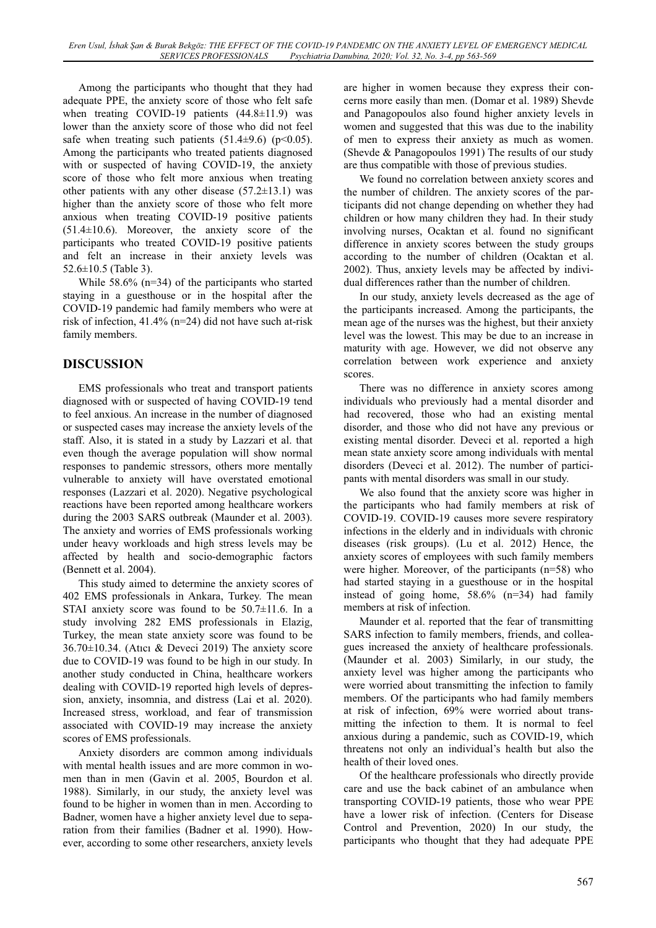Among the participants who thought that they had adequate PPE, the anxiety score of those who felt safe when treating COVID-19 patients (44.8±11.9) was lower than the anxiety score of those who did not feel safe when treating such patients  $(51.4\pm9.6)$  (p<0.05). Among the participants who treated patients diagnosed with or suspected of having COVID-19, the anxiety score of those who felt more anxious when treating other patients with any other disease  $(57.2\pm13.1)$  was higher than the anxiety score of those who felt more anxious when treating COVID-19 positive patients (51.4±10.6). Moreover, the anxiety score of the participants who treated COVID-19 positive patients and felt an increase in their anxiety levels was 52.6±10.5 (Table 3).

While 58.6% (n=34) of the participants who started staying in a guesthouse or in the hospital after the COVID-19 pandemic had family members who were at risk of infection, 41.4% (n=24) did not have such at-risk family members.

# **DISCUSSION**

EMS professionals who treat and transport patients diagnosed with or suspected of having COVID-19 tend to feel anxious. An increase in the number of diagnosed or suspected cases may increase the anxiety levels of the staff. Also, it is stated in a study by Lazzari et al. that even though the average population will show normal responses to pandemic stressors, others more mentally vulnerable to anxiety will have overstated emotional responses (Lazzari et al. 2020). Negative psychological reactions have been reported among healthcare workers during the 2003 SARS outbreak (Maunder et al. 2003). The anxiety and worries of EMS professionals working under heavy workloads and high stress levels may be affected by health and socio-demographic factors (Bennett et al. 2004).

This study aimed to determine the anxiety scores of 402 EMS professionals in Ankara, Turkey. The mean STAI anxiety score was found to be 50.7±11.6. In a study involving 282 EMS professionals in Elazig, Turkey, the mean state anxiety score was found to be  $36.70 \pm 10.34$ . (Atıcı & Deveci 2019) The anxiety score due to COVID-19 was found to be high in our study. In another study conducted in China, healthcare workers dealing with COVID-19 reported high levels of depression, anxiety, insomnia, and distress (Lai et al. 2020). Increased stress, workload, and fear of transmission associated with COVID-19 may increase the anxiety scores of EMS professionals.

Anxiety disorders are common among individuals with mental health issues and are more common in women than in men (Gavin et al. 2005, Bourdon et al. 1988). Similarly, in our study, the anxiety level was found to be higher in women than in men. According to Badner, women have a higher anxiety level due to separation from their families (Badner et al. 1990). However, according to some other researchers, anxiety levels are higher in women because they express their concerns more easily than men. (Domar et al. 1989) Shevde and Panagopoulos also found higher anxiety levels in women and suggested that this was due to the inability of men to express their anxiety as much as women. (Shevde & Panagopoulos 1991) The results of our study are thus compatible with those of previous studies.

We found no correlation between anxiety scores and the number of children. The anxiety scores of the participants did not change depending on whether they had children or how many children they had. In their study involving nurses, Ocaktan et al. found no significant difference in anxiety scores between the study groups according to the number of children (Ocaktan et al. 2002). Thus, anxiety levels may be affected by individual differences rather than the number of children.

In our study, anxiety levels decreased as the age of the participants increased. Among the participants, the mean age of the nurses was the highest, but their anxiety level was the lowest. This may be due to an increase in maturity with age. However, we did not observe any correlation between work experience and anxiety scores.

There was no difference in anxiety scores among individuals who previously had a mental disorder and had recovered, those who had an existing mental disorder, and those who did not have any previous or existing mental disorder. Deveci et al. reported a high mean state anxiety score among individuals with mental disorders (Deveci et al. 2012). The number of participants with mental disorders was small in our study.

We also found that the anxiety score was higher in the participants who had family members at risk of COVID-19. COVID-19 causes more severe respiratory infections in the elderly and in individuals with chronic diseases (risk groups). (Lu et al. 2012) Hence, the anxiety scores of employees with such family members were higher. Moreover, of the participants (n=58) who had started staying in a guesthouse or in the hospital instead of going home, 58.6% (n=34) had family members at risk of infection.

Maunder et al. reported that the fear of transmitting SARS infection to family members, friends, and colleagues increased the anxiety of healthcare professionals. (Maunder et al. 2003) Similarly, in our study, the anxiety level was higher among the participants who were worried about transmitting the infection to family members. Of the participants who had family members at risk of infection, 69% were worried about transmitting the infection to them. It is normal to feel anxious during a pandemic, such as COVID-19, which threatens not only an individual's health but also the health of their loved ones.

Of the healthcare professionals who directly provide care and use the back cabinet of an ambulance when transporting COVID-19 patients, those who wear PPE have a lower risk of infection. (Centers for Disease Control and Prevention, 2020) In our study, the participants who thought that they had adequate PPE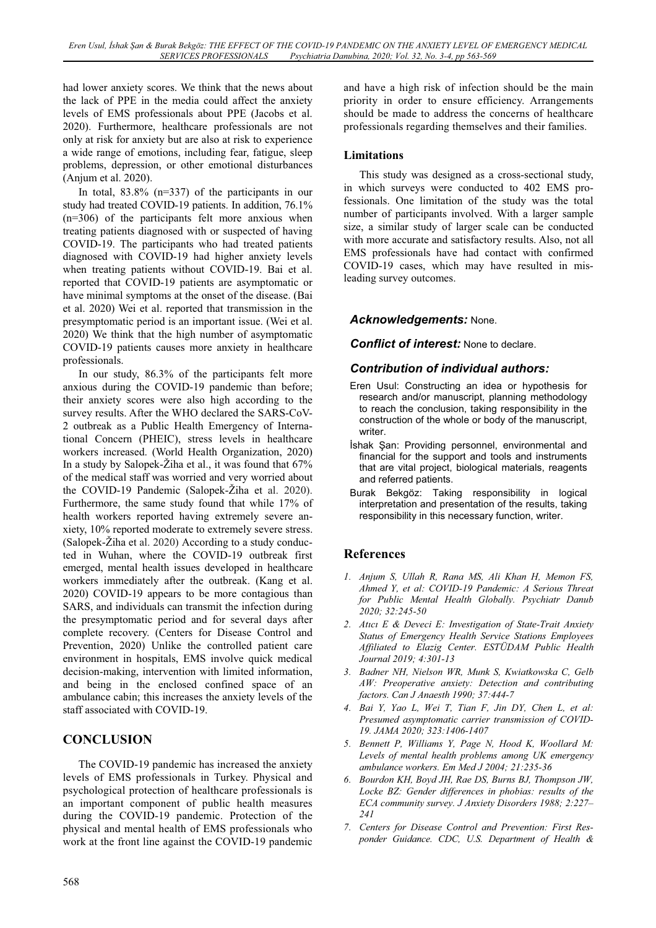had lower anxiety scores. We think that the news about the lack of PPE in the media could affect the anxiety levels of EMS professionals about PPE (Jacobs et al. 2020). Furthermore, healthcare professionals are not only at risk for anxiety but are also at risk to experience a wide range of emotions, including fear, fatigue, sleep problems, depression, or other emotional disturbances (Anjum et al. 2020).

In total, 83.8% (n=337) of the participants in our study had treated COVID-19 patients. In addition, 76.1% (n=306) of the participants felt more anxious when treating patients diagnosed with or suspected of having COVID-19. The participants who had treated patients diagnosed with COVID-19 had higher anxiety levels when treating patients without COVID-19. Bai et al. reported that COVID-19 patients are asymptomatic or have minimal symptoms at the onset of the disease. (Bai et al. 2020) Wei et al. reported that transmission in the presymptomatic period is an important issue. (Wei et al. 2020) We think that the high number of asymptomatic COVID-19 patients causes more anxiety in healthcare professionals.

In our study, 86.3% of the participants felt more anxious during the COVID-19 pandemic than before; their anxiety scores were also high according to the survey results. After the WHO declared the SARS-CoV-2 outbreak as a Public Health Emergency of International Concern (PHEIC), stress levels in healthcare workers increased. (World Health Organization, 2020) In a study by Salopek-Žiha et al., it was found that 67% of the medical staff was worried and very worried about the COVID-19 Pandemic (Salopek-Žiha et al. 2020). Furthermore, the same study found that while 17% of health workers reported having extremely severe anxiety, 10% reported moderate to extremely severe stress. (Salopek-Žiha et al. 2020) According to a study conducted in Wuhan, where the COVID-19 outbreak first emerged, mental health issues developed in healthcare workers immediately after the outbreak. (Kang et al. 2020) COVID-19 appears to be more contagious than SARS, and individuals can transmit the infection during the presymptomatic period and for several days after complete recovery. (Centers for Disease Control and Prevention, 2020) Unlike the controlled patient care environment in hospitals, EMS involve quick medical decision-making, intervention with limited information, and being in the enclosed confined space of an ambulance cabin; this increases the anxiety levels of the staff associated with COVID-19.

## **CONCLUSION CONCLUSION**

The COVID-19 pandemic has increased the anxiety levels of EMS professionals in Turkey. Physical and psychological protection of healthcare professionals is an important component of public health measures during the COVID-19 pandemic. Protection of the physical and mental health of EMS professionals who work at the front line against the COVID-19 pandemic and have a high risk of infection should be the main priority in order to ensure efficiency. Arrangements should be made to address the concerns of healthcare professionals regarding themselves and their families.

This study was designed as a cross-sectional study, in which surveys were conducted to 402 EMS professionals. One limitation of the study was the total number of participants involved. With a larger sample size, a similar study of larger scale can be conducted with more accurate and satisfactory results. Also, not all EMS professionals have had contact with confirmed COVID-19 cases, which may have resulted in misleading survey outcomes.

## *Acknowledgements:* None.

*Conflict of interest:* None to declare.

## *Contribution of individual authors:*

- Eren Usul: Constructing an idea or hypothesis for research and/or manuscript, planning methodology to reach the conclusion, taking responsibility in the construction of the whole or body of the manuscript, writer.
- **İshak Şan: Providing personnel, environmental and** financial for the support and tools and instruments that are vital project, biological materials, reagents and referred patients.
- Burak Bekgöz: Taking responsibility in logical interpretation and presentation of the results, taking responsibility in this necessary function, writer.

## **References**

- *1. Anjum S, Ullah R, Rana MS, Ali Khan H, Memon FS, Ahmed Y, et al: COVID-19 Pandemic: A Serious Threat for Public Mental Health Globally. Psychiatr Danub 2020; 32:245-50*
- *2. Atıcı E & Deveci E: Investigation of State-Trait Anxiety Status of Emergency Health Service Stations Employees Affiliated to Elazig Center. ESTÜDAM Public Health Journal 2019; 4:301-13*
- *3. Badner NH, Nielson WR, Munk S, Kwiatkowska C, Gelb AW: Preoperative anxiety: Detection and contributing factors. Can J Anaesth 1990; 37:444-7*
- *4. Bai Y, Yao L, Wei T, Tian F, Jin DY, Chen L, et al: Presumed asymptomatic carrier transmission of COVID-19. JAMA 2020; 323:1406-1407*
- *5. Bennett P, Williams Y, Page N, Hood K, Woollard M: Levels of mental health problems among UK emergency ambulance workers. Em Med J 2004; 21:235-36*
- *6. Bourdon KH, Boyd JH, Rae DS, Burns BJ, Thompson JW, Locke BZ: Gender differences in phobias: results of the ECA community survey. J Anxiety Disorders 1988; 2:227– 241*
- *7. Centers for Disease Control and Prevention: First Responder Guidance. CDC, U.S. Department of Health &*